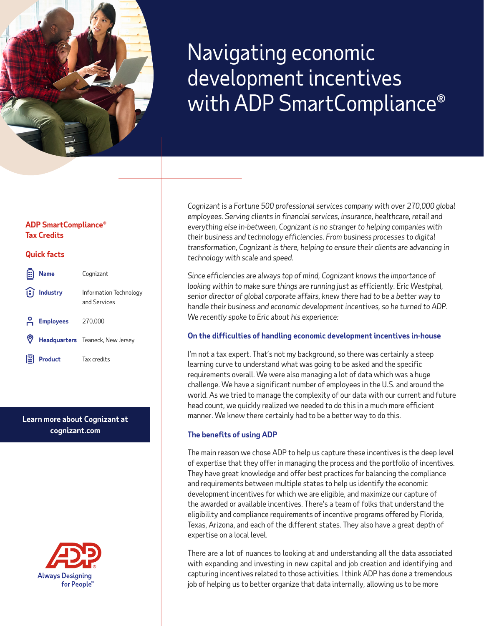

# Navigating economic development incentives with ADP SmartCompliance®

# **ADP SmartCompliance® Tax Credits**

# **Quick facts**

| 佃 | <b>Name</b>                                                  | Cognizant                              |
|---|--------------------------------------------------------------|----------------------------------------|
|   | $\left  \begin{matrix} 1 \\ 1 \end{matrix} \right $ Industry | Information Technology<br>and Services |
|   | 음 Employees                                                  | 270,000                                |
|   |                                                              | Headquarters Teaneck, New Jersey       |
| 警 | <b>Product</b>                                               | Tax credits                            |

# **Learn more about Cognizant at cognizant.com**



*Cognizant is a Fortune 500 professional services company with over 270,000 global employees. Serving clients in financial services, insurance, healthcare, retail and everything else in-between, Cognizant is no stranger to helping companies with their business and technology efficiencies. From business processes to digital transformation, Cognizant is there, helping to ensure their clients are advancing in technology with scale and speed.*

*Since efficiencies are always top of mind, Cognizant knows the importance of looking within to make sure things are running just as efficiently. Eric Westphal, senior director of global corporate affairs, knew there had to be a better way to handle their business and economic development incentives, so he turned to ADP. We recently spoke to Eric about his experience:*

# **On the difficulties of handling economic development incentives in-house**

I'm not a tax expert. That's not my background, so there was certainly a steep learning curve to understand what was going to be asked and the specific requirements overall. We were also managing a lot of data which was a huge challenge. We have a significant number of employees in the U.S. and around the world. As we tried to manage the complexity of our data with our current and future head count, we quickly realized we needed to do this in a much more efficient manner. We knew there certainly had to be a better way to do this.

# **The benefits of using ADP**

The main reason we chose ADP to help us capture these incentives is the deep level of expertise that they offer in managing the process and the portfolio of incentives. They have great knowledge and offer best practices for balancing the compliance and requirements between multiple states to help us identify the economic development incentives for which we are eligible, and maximize our capture of the awarded or available incentives. There's a team of folks that understand the eligibility and compliance requirements of incentive programs offered by Florida, Texas, Arizona, and each of the different states. They also have a great depth of expertise on a local level.

There are a lot of nuances to looking at and understanding all the data associated with expanding and investing in new capital and job creation and identifying and capturing incentives related to those activities. I think ADP has done a tremendous job of helping us to better organize that data internally, allowing us to be more